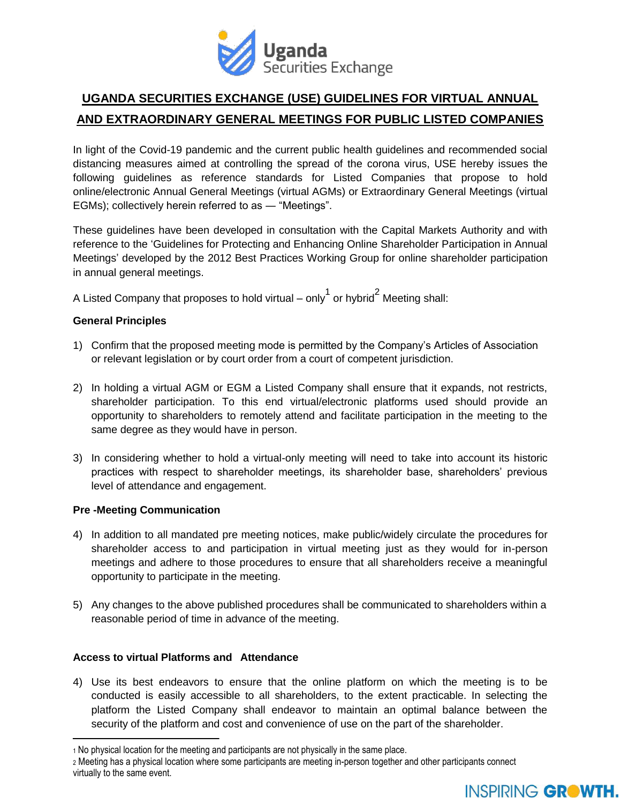

# **UGANDA SECURITIES EXCHANGE (USE) GUIDELINES FOR VIRTUAL ANNUAL AND EXTRAORDINARY GENERAL MEETINGS FOR PUBLIC LISTED COMPANIES**

In light of the Covid-19 pandemic and the current public health guidelines and recommended social distancing measures aimed at controlling the spread of the corona virus, USE hereby issues the following guidelines as reference standards for Listed Companies that propose to hold online/electronic Annual General Meetings (virtual AGMs) or Extraordinary General Meetings (virtual EGMs); collectively herein referred to as — "Meetings".

These guidelines have been developed in consultation with the Capital Markets Authority and with reference to the 'Guidelines for Protecting and Enhancing Online Shareholder Participation in Annual Meetings' developed by the 2012 Best Practices Working Group for online shareholder participation in annual general meetings.

A Listed Company that proposes to hold virtual – only $^{\rm 1}$  or hybrid $^{\rm 2}$  Meeting shall:

## **General Principles**

- 1) Confirm that the proposed meeting mode is permitted by the Company's Articles of Association or relevant legislation or by court order from a court of competent jurisdiction.
- 2) In holding a virtual AGM or EGM a Listed Company shall ensure that it expands, not restricts, shareholder participation. To this end virtual/electronic platforms used should provide an opportunity to shareholders to remotely attend and facilitate participation in the meeting to the same degree as they would have in person.
- 3) In considering whether to hold a virtual-only meeting will need to take into account its historic practices with respect to shareholder meetings, its shareholder base, shareholders' previous level of attendance and engagement.

## **Pre -Meeting Communication**

- 4) In addition to all mandated pre meeting notices, make public/widely circulate the procedures for shareholder access to and participation in virtual meeting just as they would for in-person meetings and adhere to those procedures to ensure that all shareholders receive a meaningful opportunity to participate in the meeting.
- 5) Any changes to the above published procedures shall be communicated to shareholders within a reasonable period of time in advance of the meeting.

### **Access to virtual Platforms and Attendance**

4) Use its best endeavors to ensure that the online platform on which the meeting is to be conducted is easily accessible to all shareholders, to the extent practicable. In selecting the platform the Listed Company shall endeavor to maintain an optimal balance between the security of the platform and cost and convenience of use on the part of the shareholder.

<sup>2</sup> Meeting has a physical location where some participants are meeting in-person together and other participants connect virtually to the same event.



<sup>1</sup> No physical location for the meeting and participants are not physically in the same place.